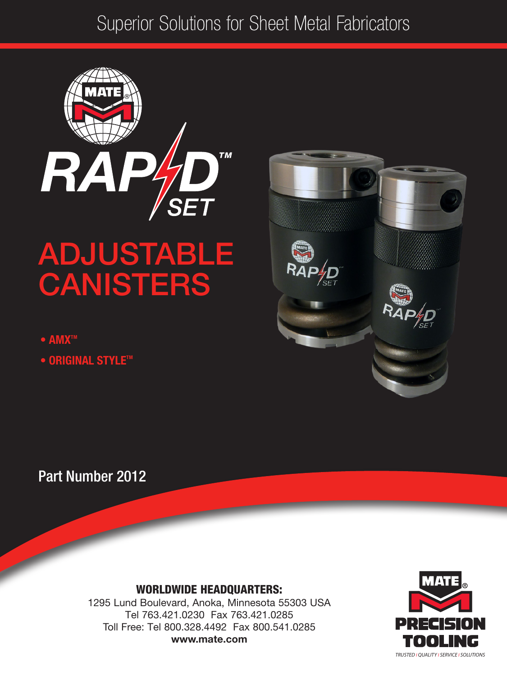# Superior Solutions for Sheet Metal Fabricators



# ADJUSTABLE **CANISTERS**

- AMX™
- ORIGINAL STYLETM



Part Number 2012

#### WORLDWIDE HEADQUARTERS:

1295 Lund Boulevard, Anoka, Minnesota 55303 USA Tel 763.421.0230 Fax 763.421.0285 Toll Free: Tel 800.328.4492 Fax 800.541.0285 www.mate.com